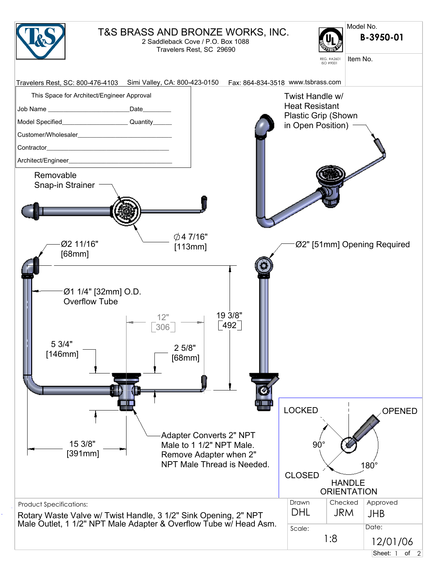